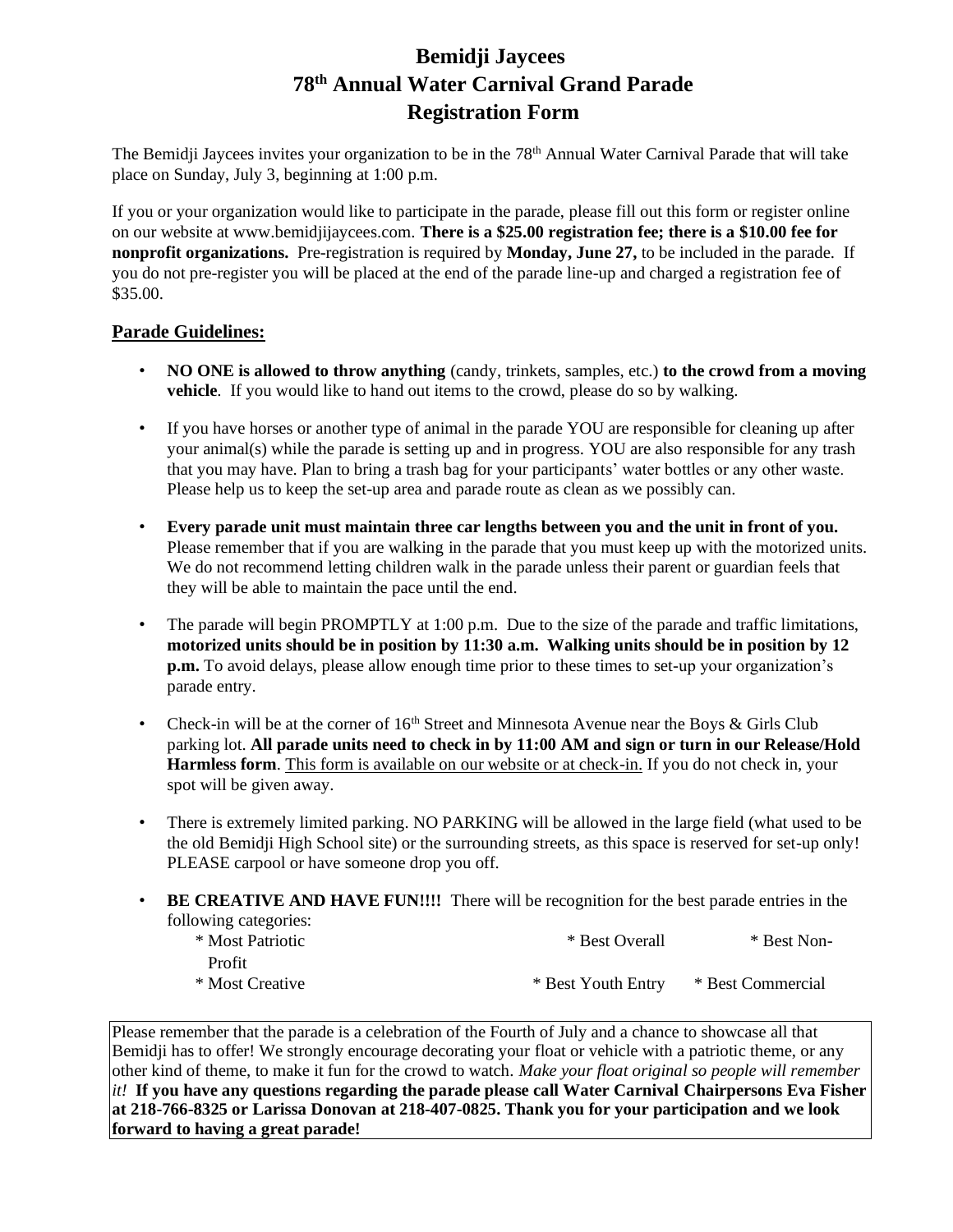## **Bemidji Jaycees 78 th Annual Water Carnival Grand Parade Registration Form**

The Bemidji Jaycees invites your organization to be in the 78<sup>th</sup> Annual Water Carnival Parade that will take place on Sunday, July 3, beginning at 1:00 p.m.

If you or your organization would like to participate in the parade, please fill out this form or register online on our website at www.bemidjijaycees.com. **There is a \$25.00 registration fee; there is a \$10.00 fee for nonprofit organizations.** Pre-registration is required by **Monday, June 27,** to be included in the parade. If you do not pre-register you will be placed at the end of the parade line-up and charged a registration fee of \$35.00.

### **Parade Guidelines:**

- **NO ONE is allowed to throw anything** (candy, trinkets, samples, etc.) **to the crowd from a moving vehicle**. If you would like to hand out items to the crowd, please do so by walking.
- If you have horses or another type of animal in the parade YOU are responsible for cleaning up after your animal(s) while the parade is setting up and in progress. YOU are also responsible for any trash that you may have. Plan to bring a trash bag for your participants' water bottles or any other waste. Please help us to keep the set-up area and parade route as clean as we possibly can.
- **Every parade unit must maintain three car lengths between you and the unit in front of you.** Please remember that if you are walking in the parade that you must keep up with the motorized units. We do not recommend letting children walk in the parade unless their parent or guardian feels that they will be able to maintain the pace until the end.
- The parade will begin PROMPTLY at 1:00 p.m. Due to the size of the parade and traffic limitations, **motorized units should be in position by 11:30 a.m. Walking units should be in position by 12 p.m.** To avoid delays, please allow enough time prior to these times to set-up your organization's parade entry.
- Check-in will be at the corner of  $16<sup>th</sup>$  Street and Minnesota Avenue near the Boys & Girls Club parking lot. **All parade units need to check in by 11:00 AM and sign or turn in our Release/Hold Harmless form**. This form is available on our website or at check-in. If you do not check in, your spot will be given away.
- There is extremely limited parking. NO PARKING will be allowed in the large field (what used to be the old Bemidji High School site) or the surrounding streets, as this space is reserved for set-up only! PLEASE carpool or have someone drop you off.
- **BE CREATIVE AND HAVE FUN!!!!** There will be recognition for the best parade entries in the following categories:

| * Most Patriotic | * Best Overall     | * Best Non-       |
|------------------|--------------------|-------------------|
| Profit           |                    |                   |
| * Most Creative  | * Best Youth Entry | * Best Commercial |

Please remember that the parade is a celebration of the Fourth of July and a chance to showcase all that Bemidii has to offer! We strongly encourage decorating your float or vehicle with a patriotic theme, or any other kind of theme, to make it fun for the crowd to watch. *Make your float original so people will remember it!* **If you have any questions regarding the parade please call Water Carnival Chairpersons Eva Fisher at 218-766-8325 or Larissa Donovan at 218-407-0825. Thank you for your participation and we look forward to having a great parade!**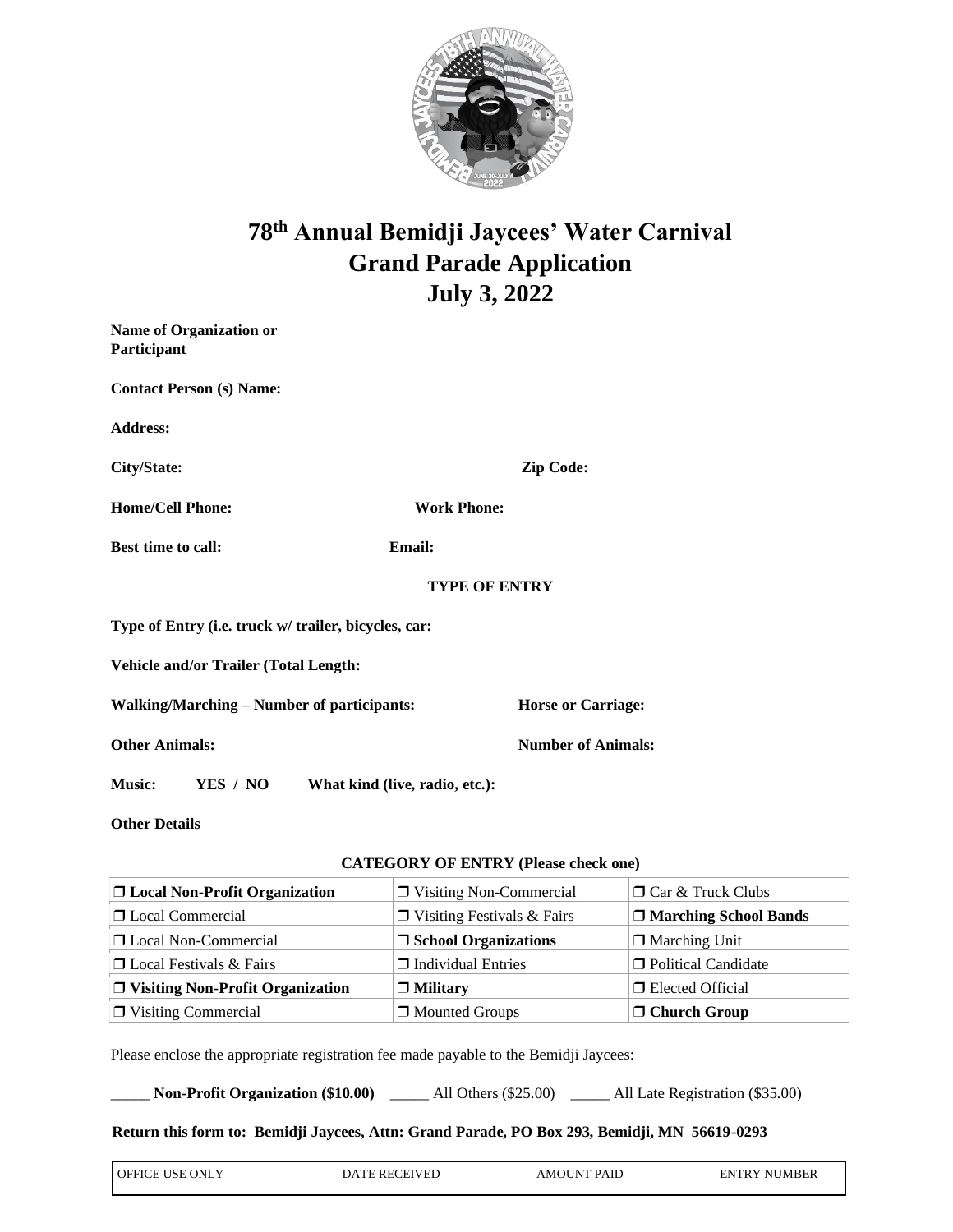

# **78th Annual Bemidji Jaycees' Water Carnival Grand Parade Application July 3, 2022**

| <b>Name of Organization or</b><br>Participant        |                                |  |
|------------------------------------------------------|--------------------------------|--|
| <b>Contact Person (s) Name:</b>                      |                                |  |
| <b>Address:</b>                                      |                                |  |
| City/State:                                          | <b>Zip Code:</b>               |  |
| <b>Home/Cell Phone:</b>                              | <b>Work Phone:</b>             |  |
| Best time to call:                                   | Email:                         |  |
|                                                      | <b>TYPE OF ENTRY</b>           |  |
| Type of Entry (i.e. truck w/ trailer, bicycles, car: |                                |  |
| Vehicle and/or Trailer (Total Length:                |                                |  |
| Walking/Marching – Number of participants:           | <b>Horse or Carriage:</b>      |  |
| <b>Other Animals:</b>                                | <b>Number of Animals:</b>      |  |
| <b>Music:</b><br>YES / NO                            | What kind (live, radio, etc.): |  |

### **Other Details**

#### **CATEGORY OF ENTRY (Please check one)**

| □ Local Non-Profit Organization         | $\Box$ Visiting Non-Commercial    | $\Box$ Car & Truck Clubs     |
|-----------------------------------------|-----------------------------------|------------------------------|
| □ Local Commercial                      | $\Box$ Visiting Festivals & Fairs | $\Box$ Marching School Bands |
| □ Local Non-Commercial                  | $\Box$ School Organizations       | $\Box$ Marching Unit         |
| $\Box$ Local Festivals & Fairs          | $\Box$ Individual Entries         | □ Political Candidate        |
| $\Box$ Visiting Non-Profit Organization | $\Box$ Military                   | □ Elected Official           |
| $\Box$ Visiting Commercial              | □ Mounted Groups                  | $\Box$ Church Group          |

Please enclose the appropriate registration fee made payable to the Bemidji Jaycees:

\_\_\_\_\_ **Non-Profit Organization (\$10.00)** \_\_\_\_\_ All Others (\$25.00) \_\_\_\_\_ All Late Registration (\$35.00)

#### **Return this form to: Bemidji Jaycees, Attn: Grand Parade, PO Box 293, Bemidji, MN 56619-0293**